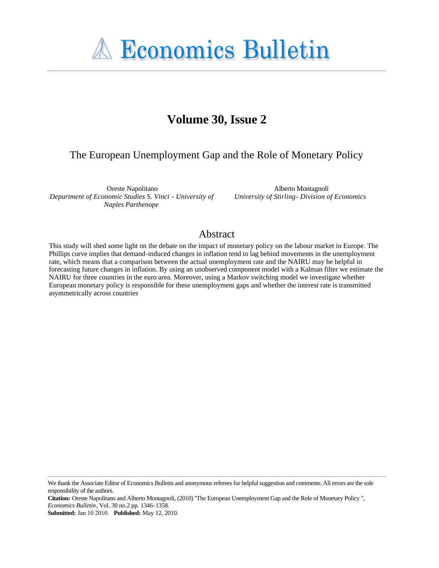# **A Economics Bulletin**

## **Volume 30, Issue 2**

### The European Unemployment Gap and the Role of Monetary Policy

Oreste Napolitano *Department of Economic Studies S. Vinci - University of Naples Parthenope*

Alberto Montagnoli *University of Stirling- Division of Economics*

#### Abstract

This study will shed some light on the debate on the impact of monetary policy on the labour market in Europe. The Phillips curve implies that demand-induced changes in inflation tend to lag behind movements in the unemployment rate, which means that a comparison between the actual unemployment rate and the NAIRU may be helpful in forecasting future changes in inflation. By using an unobserved component model with a Kalman filter we estimate the NAIRU for three countries in the euro area. Moreover, using a Markov switching model we investigate whether European monetary policy is responsible for these unemployment gaps and whether the interest rate is transmitted asymmetrically across countries

We thank the Associate Editor of Economics Bulletin and anonymous referees for helpful suggestion and comments. All errors are the sole responsibility of the authors.

**Citation:** Oreste Napolitano and Alberto Montagnoli, (2010) ''The European Unemployment Gap and the Role of Monetary Policy '', *Economics Bulletin*, Vol. 30 no.2 pp. 1346-1358.

**Submitted:** Jan 10 2010. **Published:** May 12, 2010.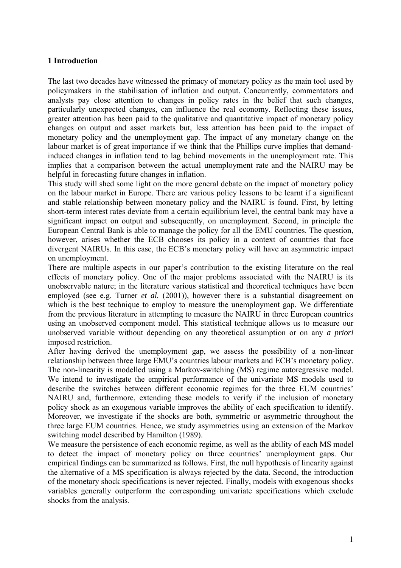#### **1 Introduction**

The last two decades have witnessed the primacy of monetary policy as the main tool used by policymakers in the stabilisation of inflation and output. Concurrently, commentators and analysts pay close attention to changes in policy rates in the belief that such changes, particularly unexpected changes, can influence the real economy. Reflecting these issues, greater attention has been paid to the qualitative and quantitative impact of monetary policy changes on output and asset markets but, less attention has been paid to the impact of monetary policy and the unemployment gap. The impact of any monetary change on the labour market is of great importance if we think that the Phillips curve implies that demandinduced changes in inflation tend to lag behind movements in the unemployment rate. This implies that a comparison between the actual unemployment rate and the NAIRU may be helpful in forecasting future changes in inflation.

This study will shed some light on the more general debate on the impact of monetary policy on the labour market in Europe. There are various policy lessons to be learnt if a significant and stable relationship between monetary policy and the NAIRU is found. First, by letting short-term interest rates deviate from a certain equilibrium level, the central bank may have a significant impact on output and subsequently, on unemployment. Second, in principle the European Central Bank is able to manage the policy for all the EMU countries. The question, however, arises whether the ECB chooses its policy in a context of countries that face divergent NAIRUs. In this case, the ECB's monetary policy will have an asymmetric impact on unemployment.

There are multiple aspects in our paper's contribution to the existing literature on the real effects of monetary policy. One of the major problems associated with the NAIRU is its unobservable nature; in the literature various statistical and theoretical techniques have been employed (see e.g. Turner *et al.* (2001)), however there is a substantial disagreement on which is the best technique to employ to measure the unemployment gap. We differentiate from the previous literature in attempting to measure the NAIRU in three European countries using an unobserved component model. This statistical technique allows us to measure our unobserved variable without depending on any theoretical assumption or on any *a priori* imposed restriction.

After having derived the unemployment gap, we assess the possibility of a non-linear relationship between three large EMU's countries labour markets and ECB's monetary policy. The non-linearity is modelled using a Markov-switching (MS) regime autoregressive model. We intend to investigate the empirical performance of the univariate MS models used to describe the switches between different economic regimes for the three EUM countries' NAIRU and, furthermore, extending these models to verify if the inclusion of monetary policy shock as an exogenous variable improves the ability of each specification to identify. Moreover, we investigate if the shocks are both, symmetric or asymmetric throughout the three large EUM countries. Hence, we study asymmetries using an extension of the Markov switching model described by Hamilton (1989).

We measure the persistence of each economic regime, as well as the ability of each MS model to detect the impact of monetary policy on three countries' unemployment gaps. Our empirical findings can be summarized as follows. First, the null hypothesis of linearity against the alternative of a MS specification is always rejected by the data. Second, the introduction of the monetary shock specifications is never rejected. Finally, models with exogenous shocks variables generally outperform the corresponding univariate specifications which exclude shocks from the analysis.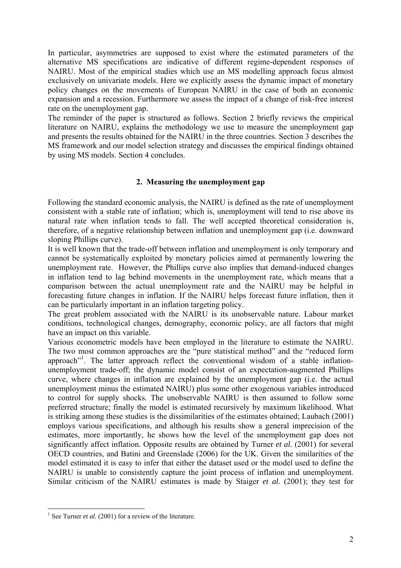In particular, asymmetries are supposed to exist where the estimated parameters of the alternative MS specifications are indicative of different regime-dependent responses of NAIRU. Most of the empirical studies which use an MS modelling approach focus almost exclusively on univariate models. Here we explicitly assess the dynamic impact of monetary policy changes on the movements of European NAIRU in the case of both an economic expansion and a recession. Furthermore we assess the impact of a change of risk-free interest rate on the unemployment gap.

The reminder of the paper is structured as follows. Section 2 briefly reviews the empirical literature on NAIRU, explains the methodology we use to measure the unemployment gap and presents the results obtained for the NAIRU in the three countries. Section 3 describes the MS framework and our model selection strategy and discusses the empirical findings obtained by using MS models. Section 4 concludes.

#### **2. Measuring the unemployment gap**

Following the standard economic analysis, the NAIRU is defined as the rate of unemployment consistent with a stable rate of inflation; which is, unemployment will tend to rise above its natural rate when inflation tends to fall. The well accepted theoretical consideration is, therefore, of a negative relationship between inflation and unemployment gap (i.e. downward sloping Phillips curve).

It is well known that the trade-off between inflation and unemployment is only temporary and cannot be systematically exploited by monetary policies aimed at permanently lowering the unemployment rate. However, the Phillips curve also implies that demand-induced changes in inflation tend to lag behind movements in the unemployment rate, which means that a comparison between the actual unemployment rate and the NAIRU may be helpful in forecasting future changes in inflation. If the NAIRU helps forecast future inflation, then it can be particularly important in an inflation targeting policy.

The great problem associated with the NAIRU is its unobservable nature. Labour market conditions, technological changes, demography, economic policy, are all factors that might have an impact on this variable.

Various econometric models have been employed in the literature to estimate the NAIRU. The two most common approaches are the "pure statistical method" and the "reduced form approach"<sup>1</sup>. The latter approach reflect the conventional wisdom of a stable inflationunemployment trade-off; the dynamic model consist of an expectation-augmented Phillips curve, where changes in inflation are explained by the unemployment gap (i.e. the actual unemployment minus the estimated NAIRU) plus some other exogenous variables introduced to control for supply shocks. The unobservable NAIRU is then assumed to follow some preferred structure; finally the model is estimated recursively by maximum likelihood. What is striking among these studies is the dissimilarities of the estimates obtained; Laubach (2001) employs various specifications, and although his results show a general imprecision of the estimates, more importantly, he shows how the level of the unemployment gap does not significantly affect inflation. Opposite results are obtained by Turner *et al.* (2001) for several OECD countries, and Batini and Greenslade (2006) for the UK. Given the similarities of the model estimated it is easy to infer that either the dataset used or the model used to define the NAIRU is unable to consistently capture the joint process of inflation and unemployment. Similar criticism of the NAIRU estimates is made by Staiger *et al.* (2001); they test for

 $\overline{a}$ 

<sup>&</sup>lt;sup>1</sup> See Turner *et al.* (2001) for a review of the literature.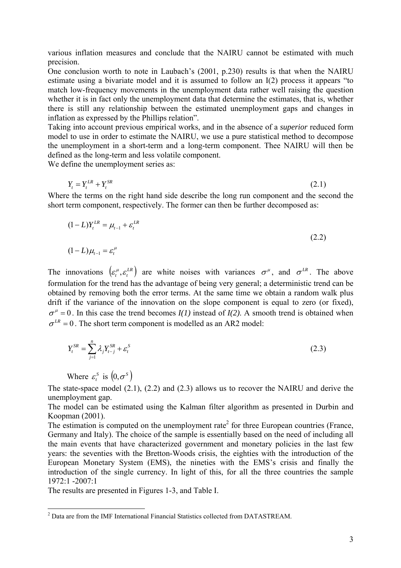various inflation measures and conclude that the NAIRU cannot be estimated with much precision.

One conclusion worth to note in Laubach's (2001, p.230) results is that when the NAIRU estimate using a bivariate model and it is assumed to follow an I(2) process it appears "to match low-frequency movements in the unemployment data rather well raising the question whether it is in fact only the unemployment data that determine the estimates, that is, whether there is still any relationship between the estimated unemployment gaps and changes in inflation as expressed by the Phillips relation".

Taking into account previous empirical works, and in the absence of a *superior* reduced form model to use in order to estimate the NAIRU, we use a pure statistical method to decompose the unemployment in a short-term and a long-term component. Thee NAIRU will then be defined as the long-term and less volatile component.

We define the unemployment series as:

*SR*  $Y_t = Y_t^{LR} + Y_t^{SR}$  (2.1)

Where the terms on the right hand side describe the long run component and the second the short term component, respectively. The former can then be further decomposed as:

$$
(1 - L)Y_t^{LR} = \mu_{t-1} + \varepsilon_t^{LR}
$$
  
(2.2)  

$$
(1 - L)\mu_{t-1} = \varepsilon_t^{\mu}
$$

The innovations  $(\varepsilon_t^{\mu}, \varepsilon_t^{LR})$  are white noises with variances  $\sigma^{\mu}$ , and  $\sigma^{LR}$ . The above formulation for the trend has the advantage of being very general; a deterministic trend can be obtained by removing both the error terms. At the same time we obtain a random walk plus drift if the variance of the innovation on the slope component is equal to zero (or fixed),  $\sigma^{\mu} = 0$ . In this case the trend becomes *I(1)* instead of *I(2)*. A smooth trend is obtained when  $\sigma^{LR} = 0$ . The short term component is modelled as an AR2 model:

$$
Y_t^{SR} = \sum_{j=1}^n \lambda_j Y_{t-j}^{SR} + \varepsilon_t^S
$$
 (2.3)

Where 
$$
\varepsilon_t^s
$$
 is  $(0, \sigma^s)$ 

The state-space model (2.1), (2.2) and (2.3) allows us to recover the NAIRU and derive the unemployment gap.

The model can be estimated using the Kalman filter algorithm as presented in Durbin and Koopman (2001).

The estimation is computed on the unemployment rate<sup>2</sup> for three European countries (France, Germany and Italy). The choice of the sample is essentially based on the need of including all the main events that have characterized government and monetary policies in the last few years: the seventies with the Bretton-Woods crisis, the eighties with the introduction of the European Monetary System (EMS), the nineties with the EMS's crisis and finally the introduction of the single currency. In light of this, for all the three countries the sample 1972:1 -2007:1

The results are presented in Figures 1-3, and Table I.

<sup>&</sup>lt;sup>2</sup> Data are from the IMF International Financial Statistics collected from DATASTREAM.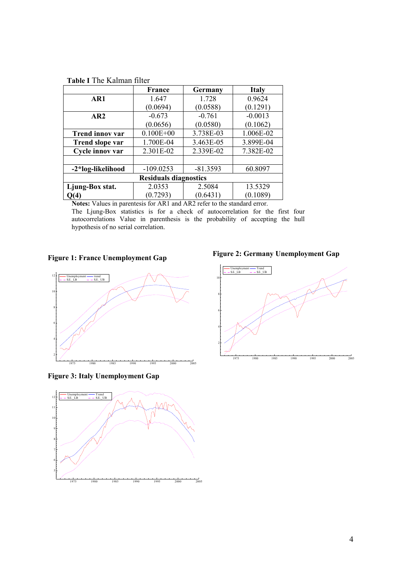|  |  | <b>Table I</b> The Kalman filter |  |
|--|--|----------------------------------|--|
|--|--|----------------------------------|--|

|                        | France                       | Germany    | <b>Italy</b> |  |
|------------------------|------------------------------|------------|--------------|--|
| AR1                    | 1.647                        | 1.728      | 0.9624       |  |
|                        | (0.0694)                     | (0.0588)   | (0.1291)     |  |
| AR <sub>2</sub>        | $-0.673$                     | $-0.761$   | $-0.0013$    |  |
|                        | (0.0656)                     | (0.0580)   | (0.1062)     |  |
| <b>Trend innov var</b> | $0.100E + 00$                | 3.738E-03  | 1.006E-02    |  |
| <b>Trend slope var</b> | 1.700E-04                    | 3.463E-05  | 3.899E-04    |  |
| Cycle innov var        | 2.301E-02                    | 2.339E-02  | 7.382E-02    |  |
|                        |                              |            |              |  |
| -2*log-likelihood      | $-109.0253$                  | $-81.3593$ | 60.8097      |  |
|                        | <b>Residuals diagnostics</b> |            |              |  |
| Ljung-Box stat.        | 2.0353                       | 2.5084     | 13.5329      |  |
| Q(4)                   | (0.7293)                     | (0.6431)   | (0.1089)     |  |

**Notes:** Values in parentesis for AR1 and AR2 refer to the standard error.

The Ljung-Box statistics is for a check of autocorrelation for the first four autocorrelations Value in parenthesis is the probability of accepting the hull hypothesis of no serial correlation.

#### **Figure 1: France Unemployment Gap**



**Figure 3: Italy Unemployment Gap** 



**Figure 2: Germany Unemployment Gap** 

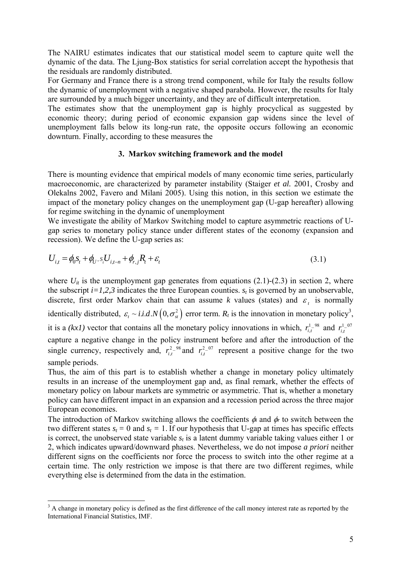The NAIRU estimates indicates that our statistical model seem to capture quite well the dynamic of the data. The Ljung-Box statistics for serial correlation accept the hypothesis that the residuals are randomly distributed.

For Germany and France there is a strong trend component, while for Italy the results follow the dynamic of unemployment with a negative shaped parabola. However, the results for Italy are surrounded by a much bigger uncertainty, and they are of difficult interpretation.

The estimates show that the unemployment gap is highly procyclical as suggested by economic theory; during period of economic expansion gap widens since the level of unemployment falls below its long-run rate, the opposite occurs following an economic downturn. Finally, according to these measures the

#### **3. Markov switching framework and the model**

There is mounting evidence that empirical models of many economic time series, particularly macroeconomic, are characterized by parameter instability (Staiger *et al.* 2001, Crosby and Olekalns 2002, Favero and Milani 2005). Using this notion, in this section we estimate the impact of the monetary policy changes on the unemployment gap (U-gap hereafter) allowing for regime switching in the dynamic of unemployment

We investigate the ability of Markov Switching model to capture asymmetric reactions of Ugap series to monetary policy stance under different states of the economy (expansion and recession). We define the U-gap series as:

$$
U_{i,t} = \phi_0 s_t + \phi_U, s_t U_{i,t-n} + \phi_{r,j} R_t + \varepsilon_t
$$
\n(3.1)

where  $U_{it}$  is the unemployment gap generates from equations  $(2.1)-(2.3)$  in section 2, where the subscript  $i=1,2,3$  indicates the three European counties.  $s_t$  is governed by an unobservable, discrete, first order Markov chain that can assume *k* values (states) and  $\varepsilon$ , is normally identically distributed,  $\varepsilon_t \sim i.i.d.N(0, \sigma_{st}^2)$  error term.  $R_t$  is the innovation in monetary policy<sup>3</sup>, it is a *(kx1)* vector that contains all the monetary policy innovations in which,  $r_{i,t}^{1-98}$  and  $r_{i,t}^{1-07}$ capture a negative change in the policy instrument before and after the introduction of the single currency, respectively and,  $r_{i,t}^{2-98}$  and  $r_{i,t}^{2-07}$  represent a positive change for the two sample periods.

Thus, the aim of this part is to establish whether a change in monetary policy ultimately results in an increase of the unemployment gap and, as final remark, whether the effects of monetary policy on labour markets are symmetric or asymmetric. That is, whether a monetary policy can have different impact in an expansion and a recession period across the three major European economies.

The introduction of Markov switching allows the coefficients φ*<sup>i</sup>* and φ*r* to switch between the two different states  $s_t = 0$  and  $s_t = 1$ . If our hypothesis that U-gap at times has specific effects is correct, the unobserved state variable  $s_t$  is a latent dummy variable taking values either 1 or 2, which indicates upward/downward phases. Nevertheless, we do not impose *a priori* neither different signs on the coefficients nor force the process to switch into the other regime at a certain time. The only restriction we impose is that there are two different regimes, while everything else is determined from the data in the estimation.

 $\overline{a}$ 

<sup>&</sup>lt;sup>3</sup> A change in monetary policy is defined as the first difference of the call money interest rate as reported by the International Financial Statistics, IMF.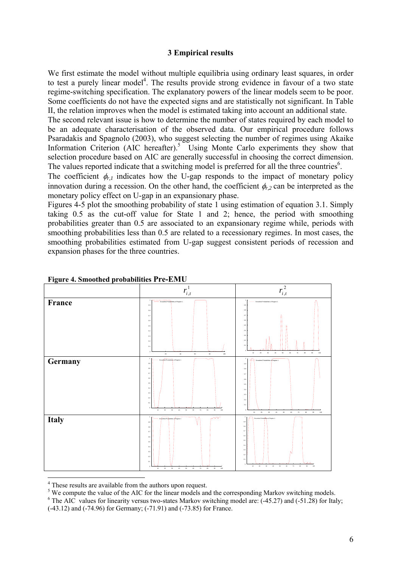#### **3 Empirical results**

We first estimate the model without multiple equilibria using ordinary least squares, in order to test a purely linear model<sup>4</sup>. The results provide strong evidence in favour of a two state regime-switching specification. The explanatory powers of the linear models seem to be poor. Some coefficients do not have the expected signs and are statistically not significant. In Table II, the relation improves when the model is estimated taking into account an additional state.

The second relevant issue is how to determine the number of states required by each model to be an adequate characterisation of the observed data. Our empirical procedure follows Psaradakis and Spagnolo (2003), who suggest selecting the number of regimes using Akaike Information Criterion (AIC hereafter). $5\degree$  Using Monte Carlo experiments they show that selection procedure based on AIC are generally successful in choosing the correct dimension. The values reported indicate that a switching model is preferred for all the three countries<sup>6</sup>.

The coefficient  $\phi_{r,l}$  indicates how the U-gap responds to the impact of monetary policy innovation during a recession. On the other hand, the coefficient  $\phi_r$ <sub>2</sub> can be interpreted as the monetary policy effect on U-gap in an expansionary phase.

Figures 4-5 plot the smoothing probability of state 1 using estimation of equation 3.1. Simply taking 0.5 as the cut-off value for State 1 and 2; hence, the period with smoothing probabilities greater than 0.5 are associated to an expansionary regime while, periods with smoothing probabilities less than 0.5 are related to a recessionary regimes. In most cases, the smoothing probabilities estimated from U-gap suggest consistent periods of recession and expansion phases for the three countries.



**Figure 4. Smoothed probabilities Pre-EMU** 

 $\frac{4}{\pi}$  These results are available from the authors upon request.

<sup>&</sup>lt;sup>5</sup> We compute the value of the AIC for the linear models and the corresponding Markov switching models.

<sup>&</sup>lt;sup>6</sup> The AIC values for linearity versus two-states Markov switching model are: (-45.27) and (-51.28) for Italy; (-43.12) and (-74.96) for Germany; (-71.91) and (-73.85) for France.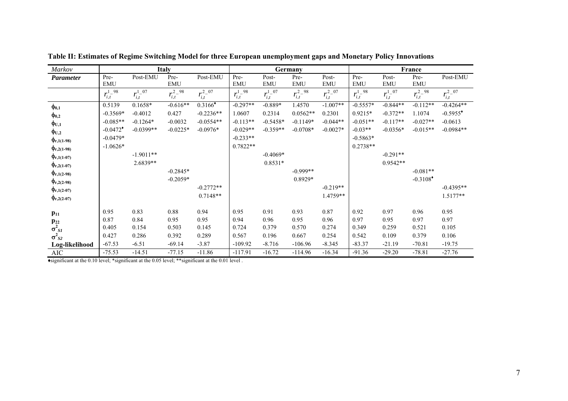| Markov                |                        |                  | <b>Italy</b>     |                       |                  |                             | Germany          |                  |                  |                  | France                 |                        |
|-----------------------|------------------------|------------------|------------------|-----------------------|------------------|-----------------------------|------------------|------------------|------------------|------------------|------------------------|------------------------|
| <b>Parameter</b>      | Pre-                   | Post-EMU         | Pre-             | Post-EMU              | Pre-             | Post-                       | Pre-             | Post-            | Pre-             | Post-            | Pre-                   | Post-EMU               |
|                       | <b>EMU</b>             |                  | <b>EMU</b>       |                       | <b>EMU</b>       | <b>EMU</b>                  | <b>EMU</b>       | <b>EMU</b>       | <b>EMU</b>       | <b>EMU</b>       | <b>EMU</b>             |                        |
|                       | $r_{i,t}^{1-98}$       | $r_{i,t}^{1-07}$ | $r_{i,t}^{2-98}$ | $r_{i,t}^{2-07}$      | $r_{i,t}^{1-98}$ | $r_{i,t}^{\overline{1-07}}$ | $r_{i,t}^{2-98}$ | $r_{i,t}^{2-07}$ | $r_{i,t}^{1-98}$ | $r_{i,t}^{1-07}$ | $r_{i,t}^{2-98}$       | $r_{i,t}^{2-07}$       |
| $\phi_{0,1}$          | 0.5139                 | $0.1658*$        | $-0.616**$       | $0.3166$ <sup>*</sup> | $-0.297**$       | $-0.889*$                   | 1.4570           | $-1.007**$       | $-0.5557*$       | $-0.844**$       | $-0.112**$             | $-0.4264**$            |
| $\phi_{0,2}$          | $-0.3569*$             | $-0.4012$        | 0.427            | $-0.2236**$           | 1.0607           | 0.2314                      | $0.0562**$       | 0.2301           | $0.9215*$        | $-0.372**$       | 1.1074                 | $-0.5955$ <sup>*</sup> |
| $\phi_{\mathrm{U},1}$ | $-0.085**$             | $-0.1264*$       | $-0.0032$        | $-0.0554**$           | $-0.113**$       | $-0.5458*$                  | $-0.1149*$       | $-0.044**$       | $-0.051**$       | $-0.117**$       | $-0.027**$             | $-0.0613$              |
| $\Phi_{\text{U},2}$   | $-0.0472$ <sup>*</sup> | $-0.0399**$      | $-0.0225*$       | $-0.0976*$            | $-0.029**$       | $-0.359**$                  | $-0.0708*$       | $-0.0027*$       | $-0.03**$        | $-0.0356*$       | $-0.015**$             | $-0.0984**$            |
| $\Phi_{r,1(1-98)}$    | $-0.0479*$             |                  |                  |                       | $-0.233**$       |                             |                  |                  | $-0.5863*$       |                  |                        |                        |
| $\Phi_{r,2(1-98)}$    | $-1.0626*$             |                  |                  |                       | $0.7822**$       |                             |                  |                  | $0.2738**$       |                  |                        |                        |
| $\Phi_{r,1(1-07)}$    |                        | $-1.9011**$      |                  |                       |                  | $-0.4069*$                  |                  |                  |                  | $-0.291**$       |                        |                        |
| $\Phi_{r,2(1-07)}$    |                        | 2.6839**         |                  |                       |                  | $0.8531*$                   |                  |                  |                  | $0.9542**$       |                        |                        |
| $\Phi_{r,1(2-98)}$    |                        |                  | $-0.2845*$       |                       |                  |                             | $-0.999**$       |                  |                  |                  | $-0.081**$             |                        |
| $\Phi_{r,2(2-98)}$    |                        |                  | $-0.2059*$       |                       |                  |                             | 0.8929*          |                  |                  |                  | $-0.3108$ <sup>*</sup> |                        |
| $\Phi_{r,1(2-07)}$    |                        |                  |                  | $-0.2772**$           |                  |                             |                  | $-0.219**$       |                  |                  |                        | $-0.4395**$            |
| $\Phi_{r,2(2-07)}$    |                        |                  |                  | $0.7148**$            |                  |                             |                  | 1.4759**         |                  |                  |                        | $1.5177**$             |
|                       |                        |                  |                  |                       |                  |                             |                  |                  |                  |                  |                        |                        |
| $p_{11}$              | 0.95                   | 0.83             | 0.88             | 0.94                  | 0.95             | 0.91                        | 0.93             | 0.87             | 0.92             | 0.97             | 0.96                   | 0.95                   |
| $\mathbf{p}_{22}$     | 0.87                   | 0.84             | 0.95             | 0.95                  | 0.94             | 0.96                        | 0.95             | 0.96             | 0.97             | 0.95             | 0.97                   | 0.97                   |
| $\sigma^2_{SI}$       | 0.405                  | 0.154            | 0.503            | 0.145                 | 0.724            | 0.379                       | 0.570            | 0.274            | 0.349            | 0.259            | 0.521                  | 0.105                  |
| $\sigma^2_{S2}$       | 0.427                  | 0.286            | 0.392            | 0.289                 | 0.567            | 0.196                       | 0.667            | 0.254            | 0.542            | 0.109            | 0.379                  | 0.106                  |
| Log-likelihood        | $-67.53$               | $-6.51$          | $-69.14$         | $-3.87$               | $-109.92$        | $-8.716$                    | $-106.96$        | $-8.345$         | $-83.37$         | $-21.19$         | $-70.81$               | $-19.75$               |
| <b>AIC</b>            | $-75.53$               | $-14.51$         | $-77.15$         | $-11.86$              | $-117.91$        | $-16.72$                    | $-114.96$        | $-16.34$         | $-91.36$         | $-29.20$         | $-78.81$               | $-27.76$               |

**Table II: Estimates of Regime Switching Model for three European unemployment gaps and Monetary Policy Innovations** 

♦significant at the 0.10 level; \*significant at the 0.05 level; \*\*significant at the 0.01 level .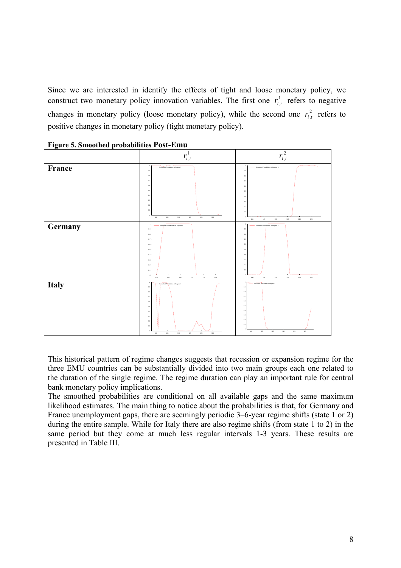Since we are interested in identify the effects of tight and loose monetary policy, we construct two monetary policy innovation variables. The first one  $r_{i,t}^1$  refers to negative changes in monetary policy (loose monetary policy), while the second one  $r_{i,t}^2$  refers to positive changes in monetary policy (tight monetary policy).





This historical pattern of regime changes suggests that recession or expansion regime for the three EMU countries can be substantially divided into two main groups each one related to the duration of the single regime. The regime duration can play an important rule for central bank monetary policy implications.

The smoothed probabilities are conditional on all available gaps and the same maximum likelihood estimates. The main thing to notice about the probabilities is that, for Germany and France unemployment gaps, there are seemingly periodic 3–6-year regime shifts (state 1 or 2) during the entire sample. While for Italy there are also regime shifts (from state 1 to 2) in the same period but they come at much less regular intervals 1-3 years. These results are presented in Table III.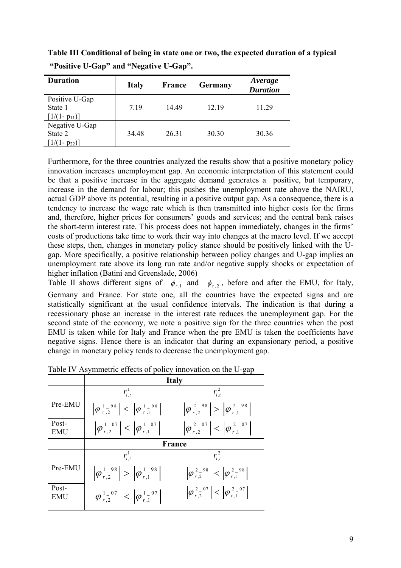**Table III Conditional of being in state one or two, the expected duration of a typical "Positive U-Gap" and "Negative U-Gap".** 

| <b>Duration</b>                               | <b>Italy</b> | <b>France</b> | Germany | Average<br><b>Duration</b> |
|-----------------------------------------------|--------------|---------------|---------|----------------------------|
| Positive U-Gap<br>State 1<br>$[1/(1-p_{11})]$ | 719          | 14 49         | 12.19   | 11.29                      |
| Negative U-Gap<br>State 2<br>$[1/(1-p_{22})]$ | 34.48        | 26.31         | 30.30   | 30.36                      |

Furthermore, for the three countries analyzed the results show that a positive monetary policy innovation increases unemployment gap. An economic interpretation of this statement could be that a positive increase in the aggregate demand generates a positive, but temporary, increase in the demand for labour; this pushes the unemployment rate above the NAIRU, actual GDP above its potential, resulting in a positive output gap. As a consequence, there is a tendency to increase the wage rate which is then transmitted into higher costs for the firms and, therefore, higher prices for consumers' goods and services; and the central bank raises the short-term interest rate. This process does not happen immediately, changes in the firms' costs of productions take time to work their way into changes at the macro level. If we accept these steps, then, changes in monetary policy stance should be positively linked with the Ugap. More specifically, a positive relationship between policy changes and U-gap implies an unemployment rate above its long run rate and/or negative supply shocks or expectation of higher inflation (Batini and Greenslade, 2006)

Table II shows different signs of  $\phi_{r,1}$  and  $\phi_{r,2}$ , before and after the EMU, for Italy, Germany and France. For state one, all the countries have the expected signs and are statistically significant at the usual confidence intervals. The indication is that during a recessionary phase an increase in the interest rate reduces the unemployment gap. For the second state of the economy, we note a positive sign for the three countries when the post EMU is taken while for Italy and France when the pre EMU is taken the coefficients have negative signs. Hence there is an indicator that during an expansionary period, a positive change in monetary policy tends to decrease the unemployment gap.

|                     | <b>Italy</b>                                      |                                                   |  |  |  |  |
|---------------------|---------------------------------------------------|---------------------------------------------------|--|--|--|--|
|                     | $r_{i}^{\perp}$                                   | $r_{i,t}^2$                                       |  |  |  |  |
| Pre-EMU             | $ \varphi_{r,2}^{1-98}  <  \varphi_{r,1}^{1-98} $ | $ \varphi_{r,2}^{2-98}  >  \varphi_{r,1}^{2-98} $ |  |  |  |  |
| Post-<br><b>EMU</b> | $ \varphi_{r,2}^{1-07}  <  \varphi_{r,1}^{1-07} $ | $ \varphi_{r,2}^{2-07}  <  \varphi_{r,1}^{2-07} $ |  |  |  |  |
|                     |                                                   | <b>France</b>                                     |  |  |  |  |
|                     | $r_{i,t}^1$                                       | $r_{i,t}^2$                                       |  |  |  |  |
| Pre-EMU             | $ \varphi_{r,2}^{1-98}  >  \varphi_{r,1}^{1-98} $ | $ \varphi_{r,2}^{2-98}  <  \varphi_{r,1}^{2-98} $ |  |  |  |  |
| Post-<br>EMU        | $ \varphi_{r,2}^{1-07}  <  \varphi_{r,1}^{1-07} $ | $ \varphi_{r,2}^{2-07}  <  \varphi_{r,1}^{2-07} $ |  |  |  |  |

Table IV Asymmetric effects of policy innovation on the U-gap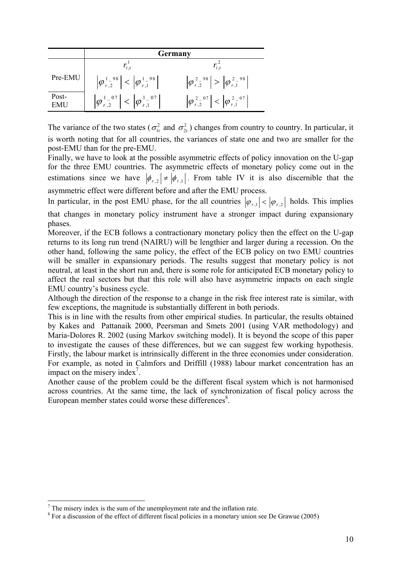|              | Germany                                           |                                                   |  |  |  |
|--------------|---------------------------------------------------|---------------------------------------------------|--|--|--|
|              |                                                   |                                                   |  |  |  |
| Pre-EMU      | $ \varphi_{r,2}^{1-98}  <  \varphi_{r,1}^{1-98} $ | $ \varphi_{r,2}^{2-98}  >  \varphi_{r,1}^{2-98} $ |  |  |  |
| Post-<br>EMU | $ \varphi_{r,2}^{1-07}  <  \varphi_{r,1}^{1-07} $ | $ \varphi_{r,2}^{2-07}  <  \varphi_{r,1}^{2-07} $ |  |  |  |

The variance of the two states ( $\sigma_{1t}^2$  and  $\sigma_{2t}^2$ ) changes from country to country. In particular, it is worth noting that for all countries, the variances of state one and two are smaller for the post-EMU than for the pre-EMU.

Finally, we have to look at the possible asymmetric effects of policy innovation on the U-gap for the three EMU countries. The asymmetric effects of monetary policy come out in the estimations since we have  $|\phi_{r,2}| \neq |\phi_{r,1}|$ . From table IV it is also discernible that the asymmetric effect were different before and after the EMU process.

In particular, in the post EMU phase, for the all countries  $|\varphi_{r_1}| < |\varphi_{r_2}|$  holds. This implies that changes in monetary policy instrument have a stronger impact during expansionary phases.

Moreover, if the ECB follows a contractionary monetary policy then the effect on the U-gap returns to its long run trend (NAIRU) will be lengthier and larger during a recession. On the other hand, following the same policy, the effect of the ECB policy on two EMU countries will be smaller in expansionary periods. The results suggest that monetary policy is not neutral, at least in the short run and, there is some role for anticipated ECB monetary policy to affect the real sectors but that this role will also have asymmetric impacts on each single EMU country's business cycle.

Although the direction of the response to a change in the risk free interest rate is similar, with few exceptions, the magnitude is substantially different in both periods.

This is in line with the results from other empirical studies. In particular, the results obtained by Kakes and Pattanaik 2000, Peersman and Smets 2001 (using VAR methodology) and Maria-Dolores R. 2002 (using Markov switching model). It is beyond the scope of this paper to investigate the causes of these differences, but we can suggest few working hypothesis. Firstly, the labour market is intrinsically different in the three economies under consideration. For example, as noted in Calmfors and Driffill (1988) labour market concentration has an impact on the misery index<sup>7</sup>.

Another cause of the problem could be the different fiscal system which is not harmonised across countries. At the same time, the lack of synchronization of fiscal policy across the European member states could worse these differences $\delta$ .

 $\overline{a}$ 

 $7$  The misery index is the sum of the unemployment rate and the inflation rate.

 $8$  For a discussion of the effect of different fiscal policies in a monetary union see De Grawue (2005)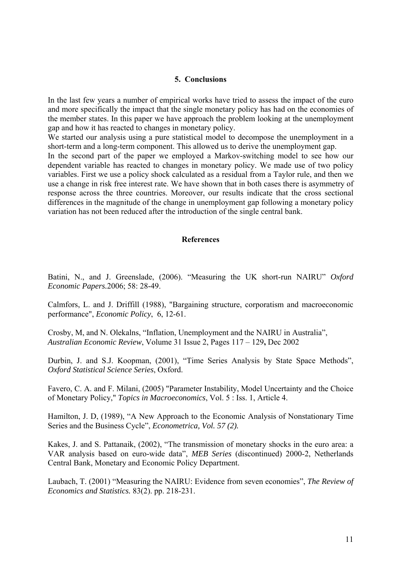#### **5. Conclusions**

In the last few years a number of empirical works have tried to assess the impact of the euro and more specifically the impact that the single monetary policy has had on the economies of the member states. In this paper we have approach the problem looking at the unemployment gap and how it has reacted to changes in monetary policy.

We started our analysis using a pure statistical model to decompose the unemployment in a short-term and a long-term component. This allowed us to derive the unemployment gap.

In the second part of the paper we employed a Markov-switching model to see how our dependent variable has reacted to changes in monetary policy. We made use of two policy variables. First we use a policy shock calculated as a residual from a Taylor rule, and then we use a change in risk free interest rate. We have shown that in both cases there is asymmetry of response across the three countries. Moreover, our results indicate that the cross sectional differences in the magnitude of the change in unemployment gap following a monetary policy variation has not been reduced after the introduction of the single central bank.

#### **References**

Batini, N., and J. Greenslade, (2006). "Measuring the UK short-run NAIRU" *Oxford Economic Papers.*2006; 58: 28-49.

Calmfors, L. and J. Driffill (1988), "Bargaining structure, corporatism and macroeconomic performance", *Economic Policy*, 6, 12-61.

Crosby, M, and N. Olekalns, "Inflation, Unemployment and the NAIRU in Australia", *Australian Economic Review*, Volume 31 Issue 2, Pages 117 – 129**,** Dec 2002

Durbin, J. and S.J. Koopman, (2001), "Time Series Analysis by State Space Methods", *Oxford Statistical Science Series*, Oxford.

Favero, C. A. and F. Milani, (2005) "Parameter Instability, Model Uncertainty and the Choice of Monetary Policy," *Topics in Macroeconomics*, Vol. 5 : Iss. 1, Article 4.

Hamilton, J. D, (1989), "A New Approach to the Economic Analysis of Nonstationary Time Series and the Business Cycle", *Econometrica, Vol. 57 (2).* 

Kakes, J. and S. Pattanaik, (2002), "The transmission of monetary shocks in the euro area: a VAR analysis based on euro-wide data", *MEB Series* (discontinued) 2000-2, Netherlands Central Bank, Monetary and Economic Policy Department.

Laubach, T. (2001) "Measuring the NAIRU: Evidence from seven economies", *The Review of Economics and Statistics.* 83(2). pp. 218-231.